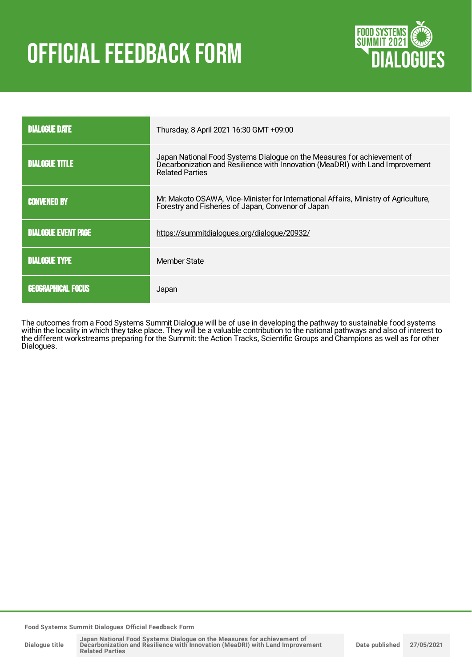# OFFICIAL FEEDBACK FORM



| <b>DIALOGUE DATE</b>       | Thursday, 8 April 2021 16:30 GMT +09:00                                                                                                                                            |  |
|----------------------------|------------------------------------------------------------------------------------------------------------------------------------------------------------------------------------|--|
| <b>DIALOGUE TITLE</b>      | Japan National Food Systems Dialogue on the Measures for achievement of<br>Decarbonization and Resilience with Innovation (MeaDRI) with Land Improvement<br><b>Related Parties</b> |  |
| <b>CONVENED BY</b>         | Mr. Makoto OSAWA, Vice-Minister for International Affairs, Ministry of Agriculture,<br>Forestry and Fisheries of Japan, Convenor of Japan                                          |  |
| <b>DIALOGUE EVENT PAGE</b> | https://summitdialogues.org/dialogue/20932/                                                                                                                                        |  |
| <b>DIALOGUE TYPE</b>       | Member State                                                                                                                                                                       |  |
| <b>GEOGRAPHICAL FOCUS</b>  | Japan                                                                                                                                                                              |  |

The outcomes from a Food Systems Summit Dialogue will be of use in developing the pathway to sustainable food systems within the locality in which they take place. They will be a valuable contribution to the national pathways and also of interest to the different workstreams preparing for the Summit: the Action Tracks, Scientific Groups and Champions as well as for other Dialogues.

**Food Systems Summit Dialogues Official Feedback Form**

**Dialogue title**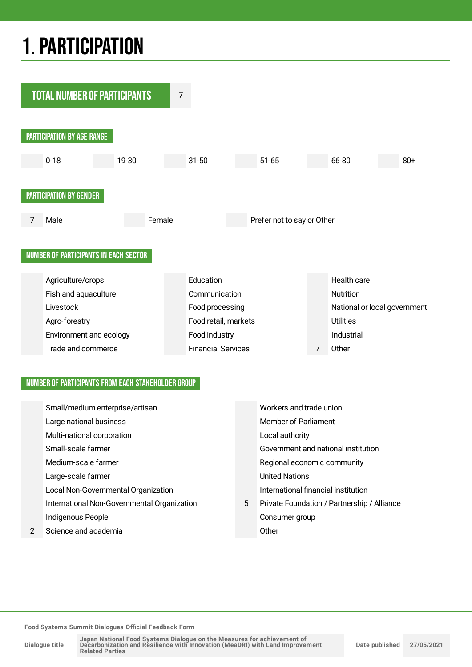## 1.PARTICIPATION



#### NUMBER OF PARTICIPANTS FROM EACH STAKEHOLDER GROUP

|   | Small/medium enterprise/artisan             |   | Workers and trade union                     |
|---|---------------------------------------------|---|---------------------------------------------|
|   | Large national business                     |   | <b>Member of Parliament</b>                 |
|   | Multi-national corporation                  |   | Local authority                             |
|   | Small-scale farmer                          |   | Government and national institution         |
|   | Medium-scale farmer                         |   | Regional economic community                 |
|   | Large-scale farmer                          |   | <b>United Nations</b>                       |
|   | Local Non-Governmental Organization         |   | International financial institution         |
|   | International Non-Governmental Organization | 5 | Private Foundation / Partnership / Alliance |
|   | Indigenous People                           |   | Consumer group                              |
| 2 | Science and academia                        |   | Other                                       |
|   |                                             |   |                                             |

**Food Systems Summit Dialogues Official Feedback Form**

**Dialogue title**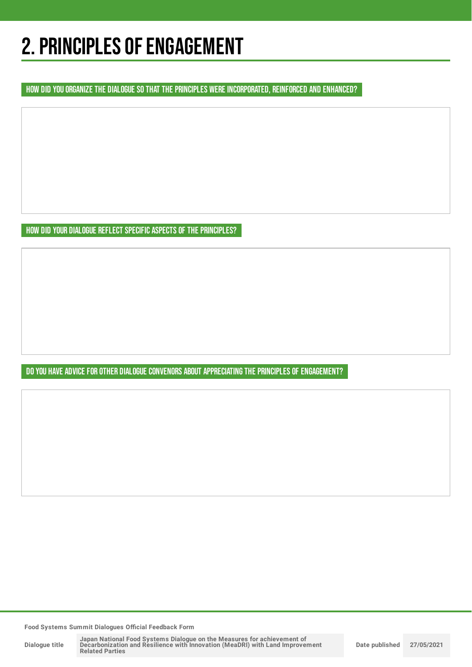## 2. PRINCIPLES OF ENGAGEMENT

HOW DID YOU ORGANIZE THE DIALOGUE SO THAT THE PRINCIPLES WERE INCORPORATED, REINFORCED AND ENHANCED?

HOW DID YOUR DIALOGUE REFLECT SPECIFIC ASPECTS OF THE PRINCIPLES?

DO YOU HAVE ADVICE FOR OTHER DIALOGUE CONVENORS ABOUT APPRECIATING THE PRINCIPLES OF ENGAGEMENT?

**Food Systems Summit Dialogues Official Feedback Form**

**Dialogue title**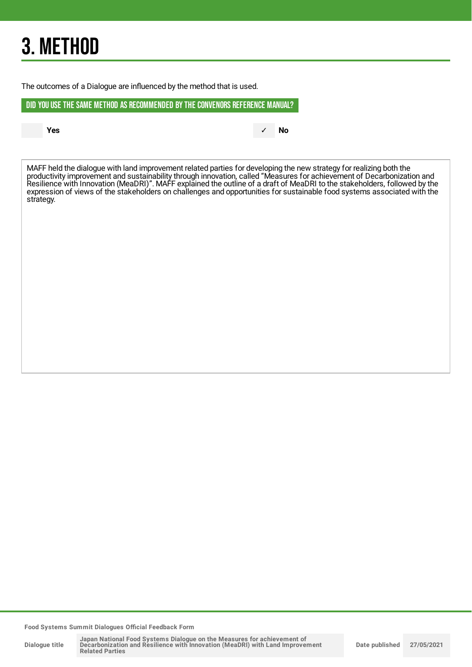## 3. METHOD

The outcomes of a Dialogue are influenced by the method that is used.

DID YOU USE THE SAME METHOD AS RECOMMENDED BYTHE CONVENORS REFERENCE MANUAL?

**Yes** ✓ **No**

MAFF held the dialogue with land improvement related parties for developing the new strategy for realizing both the productivity improvement and sustainability through innovation, called "Measures for achievement of Decarbonization and Resilience with Innovation (MeaDRI)". MAFF explained the outline of a draft of MeaDRI to the stakeholders, followed by the expression of views of the stakeholders on challenges and opportunities for sustainable food systems associated with the strategy.

**Food Systems Summit Dialogues Official Feedback Form**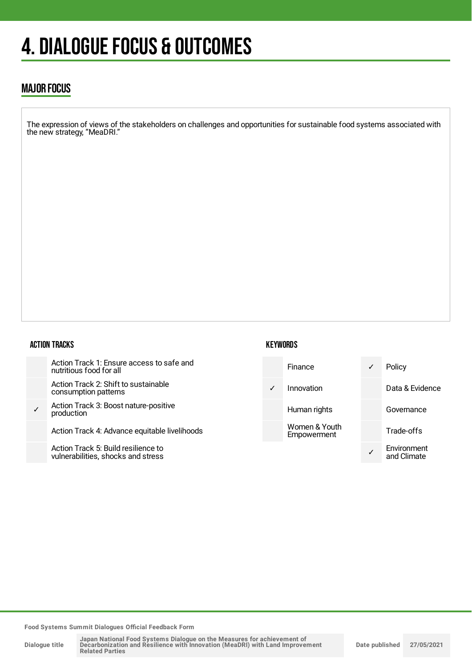## 4. DIALOGUE FOCUS & OUTCOMES

### MAJOR FOCUS

The expression of views of the stakeholders on challenges and opportunities for sustainable food systems associated with the new strategy, "MeaDRI."

#### ACTION TRACKS

|   | Action Track 1: Ensure access to safe and<br>nutritious food for all      |
|---|---------------------------------------------------------------------------|
|   | Action Track 2: Shift to sustainable<br>consumption patterns              |
| ✓ | Action Track 3: Boost nature-positive<br>production                       |
|   | Action Track 4: Advance equitable livelihoods                             |
|   | Action Track 5: Build resilience to<br>vulnerabilities, shocks and stress |

#### **KEYWORDS**



**Food Systems Summit Dialogues Official Feedback Form**

**Dialogue title**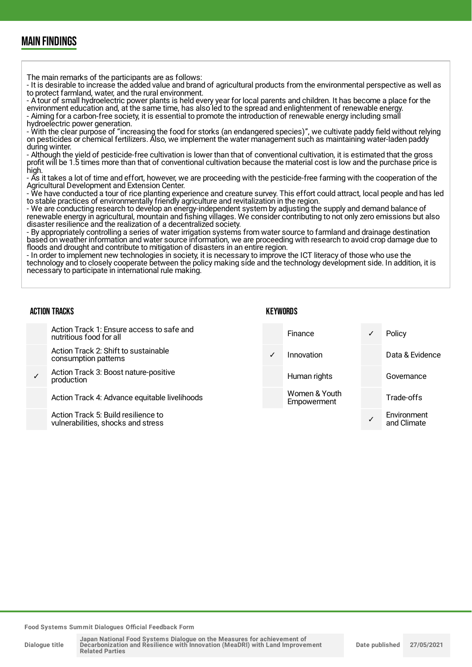### MAIN FINDINGS

The main remarks of the participants are as follows:

- It is desirable to increase the added value and brand of agricultural products from the environmental perspective as well as to protect farmland, water, and the rural environment.

- A tour of small hydroelectric power plants is held every year for local parents and children. It has become a place for the environment education and, at the same time, has also led to the spread and enlightenment of renewable energy. - Aiming for a carbon-free society, it is essential to promote the introduction of renewable energy including small hydroelectric power generation.

- With the clear purpose of "increasing the food for storks (an endangered species)", we cultivate paddy field without relying on pesticides or chemical fertilizers. Also, we implement the water management such as maintaining water-laden paddy during winter.

- Although the yield of pesticide-free cultivation is lower than that of conventional cultivation, it is estimated that the gross profit will be 1.5 times more than that of conventional cultivation because the material cost is low and the purchase price is high.

- As it takes a lot of time and effort, however, we are proceeding with the pesticide-free farming with the cooperation of the Agricultural Development and Extension Center.

- We have conducted a tour of rice planting experience and creature survey. This effort could attract, local people and has led to stable practices of environmentally friendly agriculture and revitalization in the region.

- We are conducting research to develop an energy-independent system by adjusting the supply and demand balance of renewable energy in agricultural, mountain and fishing villages. We consider contributing to not only zero emissions but also disaster resilience and the realization of a decentralized society.

- By appropriately controlling a series of water irrigation systems from water source to farmland and drainage destination based on weather information and water source information, we are proceeding with research to avoid crop damage due to floods and drought and contribute to mitigation of disasters in an entire region.

- In order to implement new technologies in society, it is necessary to improve the ICT literacy of those who use the technology and to closely cooperate between the policy making side and the technology development side. In addition, it is necessary to participate in international rule making.

| <b>ACTION TRACKS</b> |                                                                           | KEYWORDS     |                              |  |                            |
|----------------------|---------------------------------------------------------------------------|--------------|------------------------------|--|----------------------------|
|                      | Action Track 1: Ensure access to safe and<br>nutritious food for all      |              | Finance                      |  | Policy                     |
|                      | Action Track 2: Shift to sustainable<br>consumption patterns              | $\checkmark$ | Innovation                   |  | Data & Evidence            |
|                      | Action Track 3: Boost nature-positive<br>production                       |              | Human rights                 |  | Governance                 |
|                      | Action Track 4: Advance equitable livelihoods                             |              | Women & Youth<br>Empowerment |  | Trade-offs                 |
|                      | Action Track 5: Build resilience to<br>vulnerabilities, shocks and stress |              |                              |  | Environment<br>and Climate |

**Food Systems Summit Dialogues Official Feedback Form**

**Dialogue title**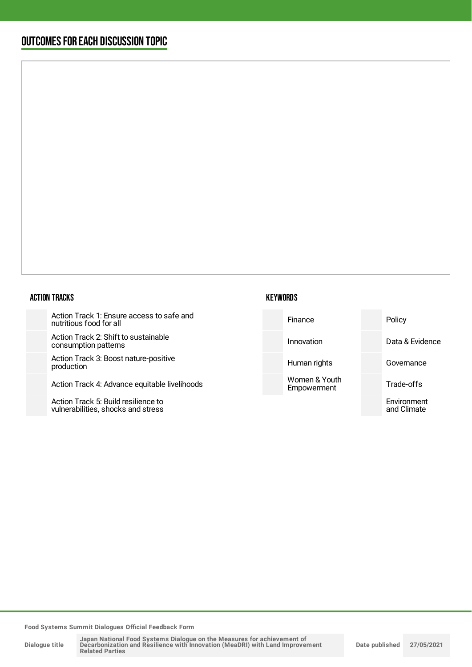### OUTCOMESFOR EACH DISCUSSION TOPIC

#### ACTION TRACKS

Action Track 1: Ensure access to s nutritious food for all

Action Track 2: Shift to sustainable consumption patterns

Action Track 3: Boost nature-positi production

Action Track 4: Advance equitable

Action Track 5: Build resilience to vulnerabilities, shocks and stress

| <b>KEYWORDS</b> |  |
|-----------------|--|
|-----------------|--|

| safe and<br>Policy<br>Finance                             |                 |
|-----------------------------------------------------------|-----------------|
| e<br>Innovation                                           | Data & Evidence |
| ive<br>Human rights<br>Governance                         |                 |
| Women & Youth<br>livelihoods<br>Trade-offs<br>Empowerment |                 |
| Environment<br>and Climate                                |                 |

**Food Systems Summit Dialogues Official Feedback Form**

**Dialogue title**